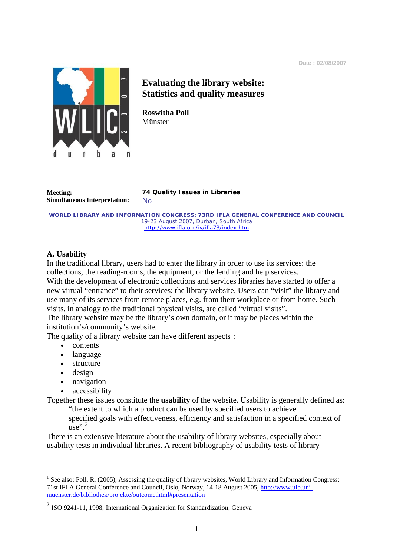

# **Evaluating the library website: Statistics and quality measures**

**Roswitha Poll**  Münster

**Simultaneous Interpretation:** No

**Meeting: 74 Quality Issues in Libraries**

**WORLD LIBRARY AND INFORMATION CONGRESS: 73RD IFLA GENERAL CONFERENCE AND COUNCIL**  19-23 August 2007, Durban, South Africa <http://www.ifla.org/iv/ifla73/index.htm>

# **A. Usability**

In the traditional library, users had to enter the library in order to use its services: the collections, the reading-rooms, the equipment, or the lending and help services. With the development of electronic collections and services libraries have started to offer a new virtual "entrance" to their services: the library website. Users can "visit" the library and use many of its services from remote places, e.g. from their workplace or from home. Such visits, in analogy to the traditional physical visits, are called "virtual visits".

The library website may be the library's own domain, or it may be places within the institution's/community's website.

The quality of a library website can have different aspects<sup>[1](#page-0-0)</sup>:

- contents
- language
- structure
- design
- navigation
- accessibility

Together these issues constitute the **usability** of the website. Usability is generally defined as:

 "the extent to which a product can be used by specified users to achieve specified goals with effectiveness, efficiency and satisfaction in a specified context of

 $use''<sup>2</sup>$  $use''<sup>2</sup>$  $use''<sup>2</sup>$ 

1

There is an extensive literature about the usability of library websites, especially about usability tests in individual libraries. A recent bibliography of usability tests of library

<span id="page-0-0"></span> $<sup>1</sup>$  See also: Poll, R. (2005), Assessing the quality of library websites, World Library and Information Congress:</sup> [71st IFLA General Conference and Council](http://www.ifla.org/IV/ifla71/index.htm), Oslo, Norway, 14-18 August 2005, [http://www.ulb.uni](http://www.ulb.uni-muenster.de/bibliothek/projekte/outcome.html#presentation)[muenster.de/bibliothek/projekte/outcome.html#presentation](http://www.ulb.uni-muenster.de/bibliothek/projekte/outcome.html#presentation)

<span id="page-0-1"></span><sup>2</sup> ISO 9241-11, 1998, International Organization for Standardization, Geneva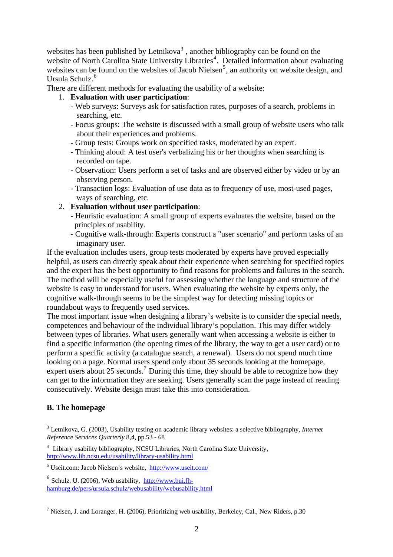websites has been published by Letnikova<sup>[3](#page-1-0)</sup>, another bibliography can be found on the website of North Carolina State University Libraries<sup>[4](#page-1-1)</sup>. Detailed information about evaluating websites can be found on the websites of Jacob Nielsen<sup>[5](#page-1-2)</sup>, an authority on website design, and Ursula Schulz.<sup>[6](#page-1-3)</sup>

There are different methods for evaluating the usability of a website:

#### 1. **Evaluation with user participation**:

- Web surveys: Surveys ask for satisfaction rates, purposes of a search, problems in searching, etc.
- Focus groups: The website is discussed with a small group of website users who talk about their experiences and problems.
- Group tests: Groups work on specified tasks, moderated by an expert.
- Thinking aloud: A test user's verbalizing his or her thoughts when searching is recorded on tape.
- Observation: Users perform a set of tasks and are observed either by video or by an observing person.
- Transaction logs: Evaluation of use data as to frequency of use, most-used pages, ways of searching, etc.

#### 2. **Evaluation without user participation**:

- Heuristic evaluation: A small group of experts evaluates the website, based on the principles of usability.
- Cognitive walk-through: Experts construct a "user scenario" and perform tasks of an imaginary user.

If the evaluation includes users, group tests moderated by experts have proved especially helpful, as users can directly speak about their experience when searching for specified topics and the expert has the best opportunity to find reasons for problems and failures in the search. The method will be especially useful for assessing whether the language and structure of the website is easy to understand for users. When evaluating the website by experts only, the cognitive walk-through seems to be the simplest way for detecting missing topics or roundabout ways to frequently used services.

The most important issue when designing a library's website is to consider the special needs, competences and behaviour of the individual library's population. This may differ widely between types of libraries. What users generally want when accessing a website is either to find a specific information (the opening times of the library, the way to get a user card) or to perform a specific activity (a catalogue search, a renewal). Users do not spend much time looking on a page. Normal users spend only about 35 seconds looking at the homepage, expert users about 25 seconds.<sup>[7](#page-1-4)</sup> During this time, they should be able to recognize how they can get to the information they are seeking. Users generally scan the page instead of reading consecutively. Website design must take this into consideration.

## **B. The homepage**

<u>.</u>

<span id="page-1-0"></span><sup>3</sup> Letnikova, G. (2003), Usability testing on academic library websites: a selective bibliography, *Internet Reference Services Quarterly* 8,4, pp.53 - 68

<span id="page-1-1"></span><sup>4</sup> Library usability bibliography, NCSU Libraries, North Carolina State University, <http://www.lib.ncsu.edu/usability/library-usability.html>

<span id="page-1-2"></span><sup>&</sup>lt;sup>5</sup> Useit.com: Jacob Nielsen's website, <http://www.useit.com/>

<span id="page-1-3"></span> $6$  Schulz, U. (2006), Web usability, [http://www.bui.fh](http://www.bui.fh-hamburg.de/pers/ursula.schulz/webusability/webusability.html)[hamburg.de/pers/ursula.schulz/webusability/webusability.html](http://www.bui.fh-hamburg.de/pers/ursula.schulz/webusability/webusability.html)

<span id="page-1-4"></span><sup>&</sup>lt;sup>7</sup> Nielsen, J. and Loranger, H. (2006), Prioritizing web usability, Berkeley, Cal., New Riders, p.30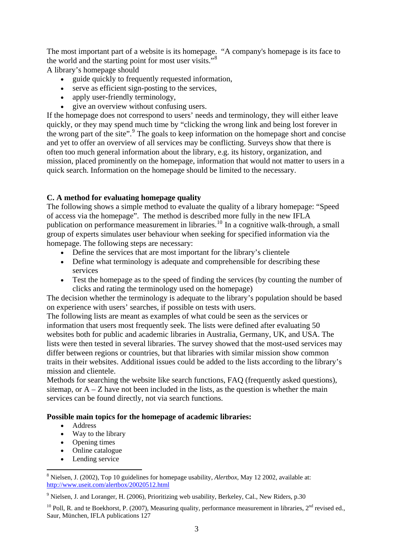The most important part of a website is its homepage. "A company's homepage is its face to the world and the starting point for most user visits."<sup>[8](#page-2-0)</sup>

A library's homepage should

- guide quickly to frequently requested information.
- serve as efficient sign-posting to the services,
- apply user-friendly terminology,
- give an overview without confusing users.

If the homepage does not correspond to users' needs and terminology, they will either leave quickly, or they may spend much time by "clicking the wrong link and being lost forever in the wrong part of the site".<sup>[9](#page-2-1)</sup> The goals to keep information on the homepage short and concise and yet to offer an overview of all services may be conflicting. Surveys show that there is often too much general information about the library, e.g. its history, organization, and mission, placed prominently on the homepage, information that would not matter to users in a quick search. Information on the homepage should be limited to the necessary.

# **C. A method for evaluating homepage quality**

The following shows a simple method to evaluate the quality of a library homepage: "Speed of access via the homepage". The method is described more fully in the new IFLA publication on performance measurement in libraries.<sup>[10](#page-2-2)</sup> In a cognitive walk-through, a small group of experts simulates user behaviour when seeking for specified information via the homepage. The following steps are necessary:

- Define the services that are most important for the library's clientele
- Define what terminology is adequate and comprehensible for describing these services
- Test the homepage as to the speed of finding the services (by counting the number of clicks and rating the terminology used on the homepage)

The decision whether the terminology is adequate to the library's population should be based on experience with users' searches, if possible on tests with users.

The following lists are meant as examples of what could be seen as the services or information that users most frequently seek. The lists were defined after evaluating 50 websites both for public and academic libraries in Australia, Germany, UK, and USA. The lists were then tested in several libraries. The survey showed that the most-used services may differ between regions or countries, but that libraries with similar mission show common traits in their websites. Additional issues could be added to the lists according to the library's mission and clientele.

Methods for searching the website like search functions, FAQ (frequently asked questions), sitemap, or  $A - Z$  have not been included in the lists, as the question is whether the main services can be found directly, not via search functions.

## **Possible main topics for the homepage of academic libraries:**

• Address

1

- Way to the library
- Opening times
- Online catalogue
- Lending service

<span id="page-2-0"></span><sup>8</sup> Nielsen, J. (2002), Top 10 guidelines for homepage usability, *Alertbox*, May 12 2002, available at: <http://www.useit.com/alertbox/20020512.html>

<span id="page-2-1"></span> $9$  Nielsen, J. and Loranger, H. (2006), Prioritizing web usability, Berkeley, Cal., New Riders, p.30

<span id="page-2-2"></span><sup>&</sup>lt;sup>10</sup> Poll, R. and te Boekhorst, P. (2007), Measuring quality, performance measurement in libraries,  $2<sup>nd</sup>$  revised ed., Saur, München, IFLA publications 127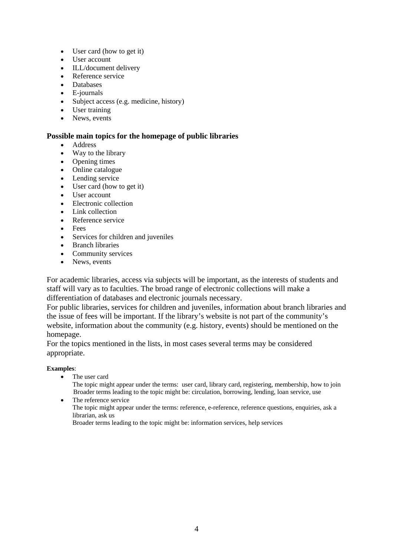- User card (how to get it)
- User account
- ILL/document delivery
- Reference service
- Databases
- E-journals
- Subject access (e.g. medicine, history)
- User training
- News, events

## **Possible main topics for the homepage of public libraries**

- Address
- Way to the library
- Opening times
- Online catalogue
- Lending service
- User card (how to get it)
- User account
- Electronic collection
- Link collection
- Reference service
- Fees
- Services for children and juveniles
- Branch libraries
- Community services
- News, events

For academic libraries, access via subjects will be important, as the interests of students and staff will vary as to faculties. The broad range of electronic collections will make a differentiation of databases and electronic journals necessary.

For public libraries, services for children and juveniles, information about branch libraries and the issue of fees will be important. If the library's website is not part of the community's website, information about the community (e.g. history, events) should be mentioned on the homepage.

For the topics mentioned in the lists, in most cases several terms may be considered appropriate.

#### **Examples**:

• The user card

The topic might appear under the terms: user card, library card, registering, membership, how to join Broader terms leading to the topic might be: circulation, borrowing, lending, loan service, use

• The reference service The topic might appear under the terms: reference, e-reference, reference questions, enquiries, ask a librarian, ask us

Broader terms leading to the topic might be: information services, help services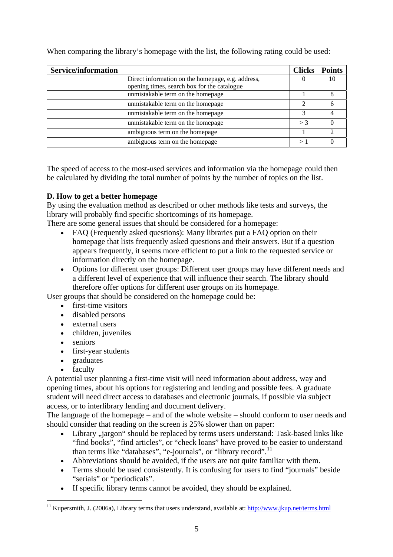| <b>Service/information</b> |                                                   | <b>Clicks</b> | <b>Points</b> |
|----------------------------|---------------------------------------------------|---------------|---------------|
|                            | Direct information on the homepage, e.g. address, |               |               |
|                            | opening times, search box for the catalogue       |               |               |
|                            | unmistakable term on the homepage                 |               |               |
|                            | unmistakable term on the homepage                 |               |               |
|                            | unmistakable term on the homepage                 |               |               |
|                            | unmistakable term on the homepage                 | $>$ 3         |               |
|                            | ambiguous term on the homepage                    |               |               |
|                            | ambiguous term on the homepage                    |               |               |

When comparing the library's homepage with the list, the following rating could be used:

The speed of access to the most-used services and information via the homepage could then be calculated by dividing the total number of points by the number of topics on the list.

# **D. How to get a better homepage**

By using the evaluation method as described or other methods like tests and surveys, the library will probably find specific shortcomings of its homepage.

There are some general issues that should be considered for a homepage:

- FAQ (Frequently asked questions): Many libraries put a FAQ option on their homepage that lists frequently asked questions and their answers. But if a question appears frequently, it seems more efficient to put a link to the requested service or information directly on the homepage.
- Options for different user groups: Different user groups may have different needs and a different level of experience that will influence their search. The library should therefore offer options for different user groups on its homepage.

User groups that should be considered on the homepage could be:

- first-time visitors
- disabled persons
- external users
- children, juveniles
- seniors
- first-year students
- graduates
- faculty

A potential user planning a first-time visit will need information about address, way and opening times, about his options for registering and lending and possible fees. A graduate student will need direct access to databases and electronic journals, if possible via subject access, or to interlibrary lending and document delivery.

The language of the homepage – and of the whole website – should conform to user needs and should consider that reading on the screen is 25% slower than on paper:

- Library "jargon" should be replaced by terms users understand: Task-based links like "find books", "find articles", or "check loans" have proved to be easier to understand than terms like "databases", "e-journals", or "library record".<sup>[11](#page-4-0)</sup>
- Abbreviations should be avoided, if the users are not quite familiar with them.
- Terms should be used consistently. It is confusing for users to find "journals" beside "serials" or "periodicals".
- If specific library terms cannot be avoided, they should be explained.

<span id="page-4-0"></span><sup>1</sup> <sup>11</sup> Kupersmith, J. (2006a), Library terms that users understand, available at: <http://www.jkup.net/terms.html>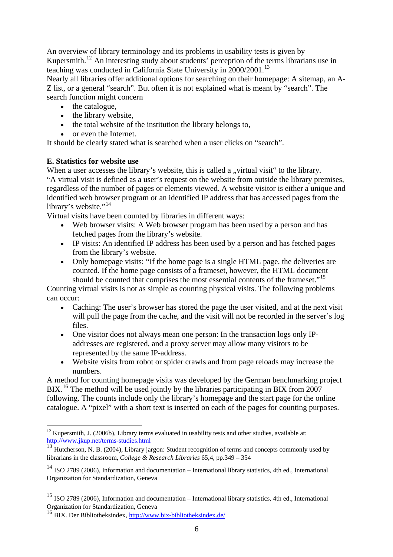An overview of library terminology and its problems in usability tests is given by Kupersmith.<sup>[12](#page-5-0)</sup> An interesting study about students' perception of the terms librarians use in teaching was conducted in California State University in 2000/2001.[13](#page-5-1)

Nearly all libraries offer additional options for searching on their homepage: A sitemap, an A-Z list, or a general "search". But often it is not explained what is meant by "search". The search function might concern

- the catalogue,
- the library website,
- the total website of the institution the library belongs to.
- or even the Internet.

It should be clearly stated what is searched when a user clicks on "search".

## **E. Statistics for website use**

<u>.</u>

When a user accesses the library's website, this is called a "virtual visit" to the library. "A virtual visit is defined as a user's request on the website from outside the library premises, regardless of the number of pages or elements viewed. A website visitor is either a unique and identified web browser program or an identified IP address that has accessed pages from the library's website."<sup>[14](#page-5-2)</sup>

Virtual visits have been counted by libraries in different ways:

- Web browser visits: A Web browser program has been used by a person and has fetched pages from the library's website.
- IP visits: An identified IP address has been used by a person and has fetched pages from the library's website.
- Only homepage visits: "If the home page is a single HTML page, the deliveries are counted. If the home page consists of a frameset, however, the HTML document should be counted that comprises the most essential contents of the frameset."<sup>[15](#page-5-3)</sup>

Counting virtual visits is not as simple as counting physical visits. The following problems can occur:

- Caching: The user's browser has stored the page the user visited, and at the next visit will pull the page from the cache, and the visit will not be recorded in the server's log files.
- One visitor does not always mean one person: In the transaction logs only IPaddresses are registered, and a proxy server may allow many visitors to be represented by the same IP-address.
- Website visits from robot or spider crawls and from page reloads may increase the numbers.

A method for counting homepage visits was developed by the German benchmarking project BIX.<sup>[16](#page-5-4)</sup> The method will be used jointly by the libraries participating in BIX from 2007 following. The counts include only the library's homepage and the start page for the online catalogue. A "pixel" with a short text is inserted on each of the pages for counting purposes.

<span id="page-5-0"></span> $12$  Kupersmith, J. (2006b), Library terms evaluated in usability tests and other studies, available at: <http://www.jkup.net/terms-studies.html>

<span id="page-5-1"></span><sup>&</sup>lt;sup>13</sup> Hutcherson, N. B. (2004), Library jargon: Student recognition of terms and concepts commonly used by librarians in the classroom, *College & Research Libraries* 65,4, pp.349 – 354

<span id="page-5-2"></span><sup>14</sup> ISO 2789 (2006), Information and documentation – International library statistics, 4th ed., International Organization for Standardization, Geneva

<span id="page-5-3"></span><sup>15</sup> ISO 2789 (2006), Information and documentation – International library statistics, 4th ed., International Organization for Standardization, Geneva

<span id="page-5-4"></span><sup>16</sup> BIX. Der Bibliotheksindex, <http://www.bix-bibliotheksindex.de/>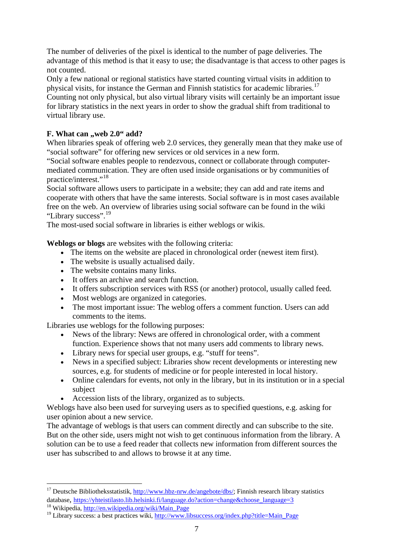The number of deliveries of the pixel is identical to the number of page deliveries. The advantage of this method is that it easy to use; the disadvantage is that access to other pages is not counted.

Only a few national or regional statistics have started counting virtual visits in addition to physical visits, for instance the German and Finnish statistics for academic libraries.<sup>[17](#page-6-0)</sup>

Counting not only physical, but also virtual library visits will certainly be an important issue for library statistics in the next years in order to show the gradual shift from traditional to virtual library use.

# **F. What can , web 2.0" add?**

When libraries speak of offering web 2.0 services, they generally mean that they make use of "social software" for offering new services or old services in a new form.

"Social software enables people to rendezvous, connect or collaborate through [computer](http://en.wikipedia.org/wiki/Computer-mediated_communication)[mediated communication.](http://en.wikipedia.org/wiki/Computer-mediated_communication) They are often used inside organisations or by communities of practice/interest."[18](#page-6-1)

Social software allows users to participate in a website; they can add and rate items and cooperate with others that have the same interests. Social software is in most cases available free on the web. An overview of libraries using social software can be found in the wiki "Library success".[19](#page-6-2)

The most-used social software in libraries is either weblogs or wikis.

**Weblogs or blogs** are websites with the following criteria:

- The items on the website are placed in chronological order (newest item first).
- The website is usually actualised daily.
- The website contains many links.
- It offers an archive and search function.
- It offers subscription services with RSS (or another) protocol, usually called feed.
- Most weblogs are organized in categories.
- The most important issue: The weblog offers a comment function. Users can add comments to the items.

Libraries use weblogs for the following purposes:

1

- News of the library: News are offered in chronological order, with a comment function. Experience shows that not many users add comments to library news.
- Library news for special user groups, e.g. "stuff for teens".
- News in a specified subject: Libraries show recent developments or interesting new sources, e.g. for students of medicine or for people interested in local history.
- Online calendars for events, not only in the library, but in its institution or in a special subject
- Accession lists of the library, organized as to subjects.

Weblogs have also been used for surveying users as to specified questions, e.g. asking for user opinion about a new service.

The advantage of weblogs is that users can comment directly and can subscribe to the site. But on the other side, users might not wish to get continuous information from the library. A solution can be to use a feed reader that collects new information from different sources the user has subscribed to and allows to browse it at any time.

<span id="page-6-0"></span><sup>&</sup>lt;sup>17</sup> Deutsche Bibliotheksstatistik, <http://www.hbz-nrw.de/angebote/dbs/>; Finnish research library statistics database, [https://yhteistilasto.lib.helsinki.fi/language.do?action=change&choose\\_language=3](https://yhteistilasto.lib.helsinki.fi/language.do?action=change&choose_language=3)<br><sup>18</sup> Wikipedia, <u>http://en.wikipedia.org/wiki/Main\_Page</u><br><sup>19</sup> Library success: a best practices wiki, http://www.libsuccess.org/in

<span id="page-6-2"></span><span id="page-6-1"></span>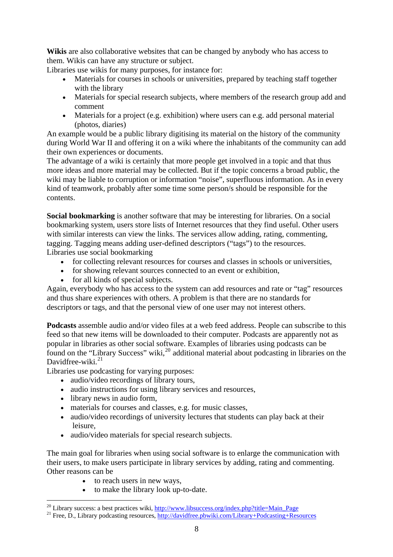Wikis are also collaborative websites that can be changed by anybody who has access to them. Wikis can have any structure or subject.

Libraries use wikis for many purposes, for instance for:

- Materials for courses in schools or universities, prepared by teaching staff together with the library
- Materials for special research subjects, where members of the research group add and comment
- Materials for a project (e.g. exhibition) where users can e.g. add personal material (photos, diaries)

An example would be a public library digitising its material on the history of the community during World War II and offering it on a wiki where the inhabitants of the community can add their own experiences or documents.

The advantage of a wiki is certainly that more people get involved in a topic and that thus more ideas and more material may be collected. But if the topic concerns a broad public, the wiki may be liable to corruption or information "noise", superfluous information. As in every kind of teamwork, probably after some time some person/s should be responsible for the contents.

**Social bookmarking** is another software that may be interesting for libraries. On a social bookmarking system, users store lists of Internet resources that they find useful. Other users with similar interests can view the links. The services allow adding, rating, commenting, tagging. Tagging means adding user-defined descriptors ("tags") to the resources. Libraries use social bookmarking

- for collecting relevant resources for courses and classes in schools or universities,
- for showing relevant sources connected to an event or exhibition,
- for all kinds of special subjects.

Again, everybody who has access to the system can add resources and rate or "tag" resources and thus share experiences with others. A problem is that there are no standards for descriptors or tags, and that the personal view of one user may not interest others.

**Podcasts** assemble audio and/or video files at a web feed address. People can subscribe to this feed so that new items will be downloaded to their computer. Podcasts are apparently not as popular in libraries as other social software. Examples of libraries using podcasts can be found on the "Library Success" wiki, $^{20}$  $^{20}$  $^{20}$  additional material about podcasting in libraries on the Davidfree-wiki. $^{21}$  $^{21}$  $^{21}$ 

Libraries use podcasting for varying purposes:

- audio/video recordings of library tours,
- audio instructions for using library services and resources,
- library news in audio form,

1

- materials for courses and classes, e.g. for music classes,
- audio/video recordings of university lectures that students can play back at their leisure,
- audio/video materials for special research subjects.

The main goal for libraries when using social software is to enlarge the communication with their users, to make users participate in library services by adding, rating and commenting. Other reasons can be

- to reach users in new ways,
- to make the library look up-to-date.

<span id="page-7-0"></span><sup>&</sup>lt;sup>20</sup> Library success: a best practices wiki,  $\frac{http://www.libsuccess.org/index.php?title=Main Page}{\text{Pree, D., Library podcasting resources}, \frac{http://davidfree.pbwiki.com/Library+Podcasting+Resources}}$ </mark>

<span id="page-7-1"></span>